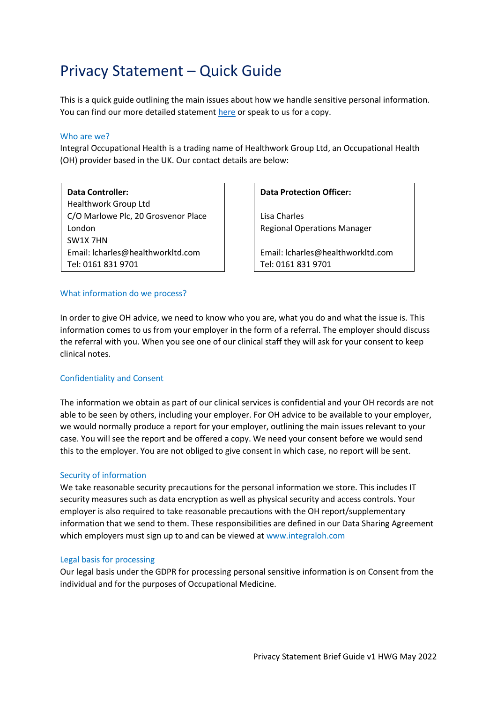# Privacy Statement – Quick Guide

This is a quick guide outlining the main issues about how we handle sensitive personal information. You can find our more detailed statemen[t here](http://www.integraloh.com/img/referral_pack_p4-7.pdf) or speak to us for a copy.

### Who are we?

Integral Occupational Health is a trading name of Healthwork Group Ltd, an Occupational Health (OH) provider based in the UK. Our contact details are below:

**Data Controller:** Healthwork Group Ltd C/O Marlowe Plc, 20 Grosvenor Place London SW1X 7HN Email: lcharles@healthworkltd.com Tel: 0161 831 9701

# **Data Protection Officer:**

Lisa Charles Regional Operations Manager

Email: lcharles@healthworkltd.com Tel: 0161 831 9701

#### What information do we process?

In order to give OH advice, we need to know who you are, what you do and what the issue is. This information comes to us from your employer in the form of a referral. The employer should discuss the referral with you. When you see one of our clinical staff they will ask for your consent to keep clinical notes.

# Confidentiality and Consent

The information we obtain as part of our clinical services is confidential and your OH records are not able to be seen by others, including your employer. For OH advice to be available to your employer, we would normally produce a report for your employer, outlining the main issues relevant to your case. You will see the report and be offered a copy. We need your consent before we would send this to the employer. You are not obliged to give consent in which case, no report will be sent.

# Security of information

We take reasonable security precautions for the personal information we store. This includes IT security measures such as data encryption as well as physical security and access controls. Your employer is also required to take reasonable precautions with the OH report/supplementary information that we send to them. These responsibilities are defined in our Data Sharing Agreement which employers must sign up to and can be viewed at www.integraloh.com

#### Legal basis for processing

Our legal basis under the GDPR for processing personal sensitive information is on Consent from the individual and for the purposes of Occupational Medicine.